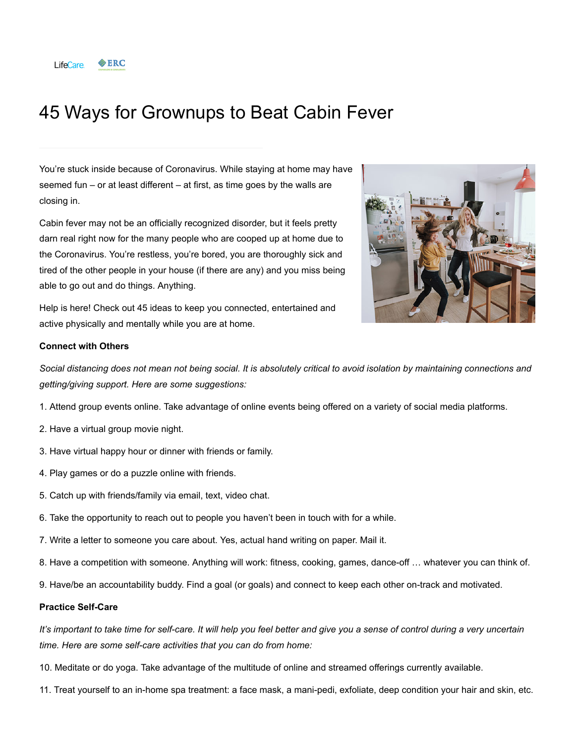

# 45 Ways for Grownups to Beat Cabin Fever

You're stuck inside because of Coronavirus. While staying at home may have seemed fun – or at least different – at first, as time goes by the walls are closing in.

Cabin fever may not be an officially recognized disorder, but it feels pretty darn real right now for the many people who are cooped up at home due to the Coronavirus. You're restless, you're bored, you are thoroughly sick and tired of the other people in your house (if there are any) and you miss being able to go out and do things. Anything.



Help is here! Check out 45 ideas to keep you connected, entertained and active physically and mentally while you are at home.

# **Connect with Others**

*Social distancing does not mean not being social. It is absolutely critical to avoid isolation by maintaining connections and getting/giving support. Here are some suggestions:*

- 1. Attend group events online. Take advantage of online events being offered on a variety of social media platforms.
- 2. Have a virtual group movie night.
- 3. Have virtual happy hour or dinner with friends or family.
- 4. Play games or do a puzzle online with friends.
- 5. Catch up with friends/family via email, text, video chat.
- 6. Take the opportunity to reach out to people you haven't been in touch with for a while.
- 7. Write a letter to someone you care about. Yes, actual hand writing on paper. Mail it.
- 8. Have a competition with someone. Anything will work: fitness, cooking, games, dance-off … whatever you can think of.
- 9. Have/be an accountability buddy. Find a goal (or goals) and connect to keep each other on-track and motivated.

#### **Practice Self-Care**

*It's important to take time for self-care. It will help you feel better and give you a sense of control during a very uncertain time. Here are some self-care activities that you can do from home:*

- 10. Meditate or do yoga. Take advantage of the multitude of online and streamed offerings currently available.
- 11. Treat yourself to an in-home spa treatment: a face mask, a mani-pedi, exfoliate, deep condition your hair and skin, etc.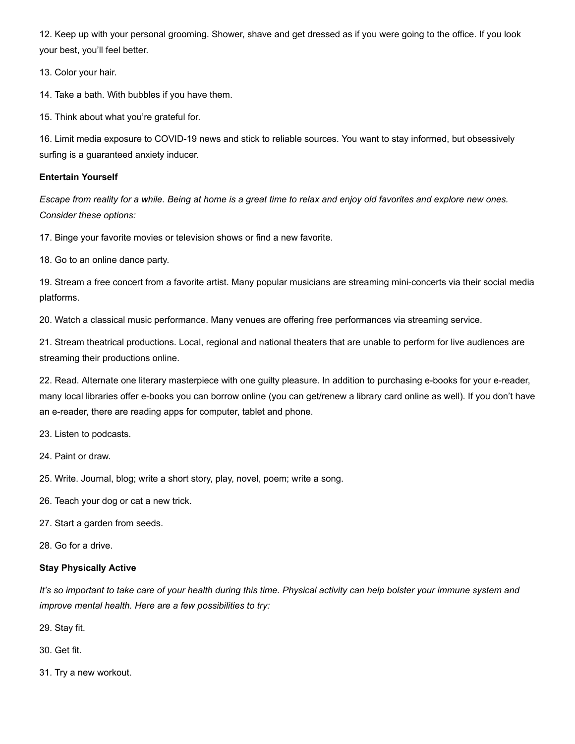12. Keep up with your personal grooming. Shower, shave and get dressed as if you were going to the office. If you look your best, you'll feel better.

13. Color your hair.

14. Take a bath. With bubbles if you have them.

15. Think about what you're grateful for.

16. Limit media exposure to COVID-19 news and stick to reliable sources. You want to stay informed, but obsessively surfing is a guaranteed anxiety inducer.

### **Entertain Yourself**

*Escape from reality for a while. Being at home is a great time to relax and enjoy old favorites and explore new ones. Consider these options:*

17. Binge your favorite movies or television shows or find a new favorite.

18. Go to an online dance party.

19. Stream a free concert from a favorite artist. Many popular musicians are streaming mini-concerts via their social media platforms.

20. Watch a classical music performance. Many venues are offering free performances via streaming service.

21. Stream theatrical productions. Local, regional and national theaters that are unable to perform for live audiences are streaming their productions online.

22. Read. Alternate one literary masterpiece with one guilty pleasure. In addition to purchasing e-books for your e-reader, many local libraries offer e-books you can borrow online (you can get/renew a library card online as well). If you don't have an e-reader, there are reading apps for computer, tablet and phone.

23. Listen to podcasts.

24. Paint or draw.

25. Write. Journal, blog; write a short story, play, novel, poem; write a song.

26. Teach your dog or cat a new trick.

27. Start a garden from seeds.

28. Go for a drive.

# **Stay Physically Active**

*It's so important to take care of your health during this time. Physical activity can help bolster your immune system and improve mental health. Here are a few possibilities to try:*

29. Stay fit.

30. Get fit.

31. Try a new workout.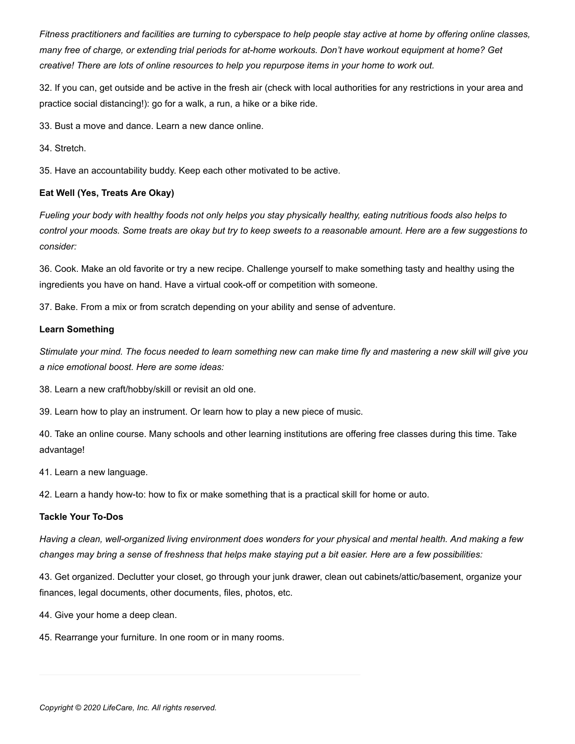*Fitness practitioners and facilities are turning to cyberspace to help people stay active at home by offering online classes, many free of charge, or extending trial periods for at-home workouts. Don't have workout equipment at home? Get creative! There are lots of online resources to help you repurpose items in your home to work out.*

32. If you can, get outside and be active in the fresh air (check with local authorities for any restrictions in your area and practice social distancing!): go for a walk, a run, a hike or a bike ride.

33. Bust a move and dance. Learn a new dance online.

34. Stretch.

35. Have an accountability buddy. Keep each other motivated to be active.

### **Eat Well (Yes, Treats Are Okay)**

*Fueling your body with healthy foods not only helps you stay physically healthy, eating nutritious foods also helps to control your moods. Some treats are okay but try to keep sweets to a reasonable amount. Here are a few suggestions to consider:*

36. Cook. Make an old favorite or try a new recipe. Challenge yourself to make something tasty and healthy using the ingredients you have on hand. Have a virtual cook-off or competition with someone.

37. Bake. From a mix or from scratch depending on your ability and sense of adventure.

#### **Learn Something**

*Stimulate your mind. The focus needed to learn something new can make time fly and mastering a new skill will give you a nice emotional boost. Here are some ideas:*

38. Learn a new craft/hobby/skill or revisit an old one.

39. Learn how to play an instrument. Or learn how to play a new piece of music.

40. Take an online course. Many schools and other learning institutions are offering free classes during this time. Take advantage!

41. Learn a new language.

42. Learn a handy how-to: how to fix or make something that is a practical skill for home or auto.

# **Tackle Your To-Dos**

*Having a clean, well-organized living environment does wonders for your physical and mental health. And making a few changes may bring a sense of freshness that helps make staying put a bit easier. Here are a few possibilities:*

43. Get organized. Declutter your closet, go through your junk drawer, clean out cabinets/attic/basement, organize your finances, legal documents, other documents, files, photos, etc.

44. Give your home a deep clean.

45. Rearrange your furniture. In one room or in many rooms.